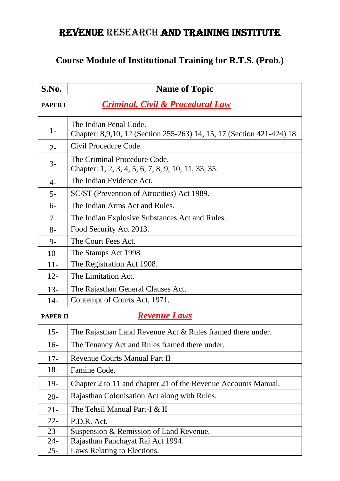## REVENUE RESEARCH AND TRAINING INSTITUTE

## **Course Module of Institutional Training for R.T.S. (Prob.)**

| S.No.           | <b>Name of Topic</b>                                                                             |
|-----------------|--------------------------------------------------------------------------------------------------|
| <b>PAPER I</b>  | <b>Criminal, Civil &amp; Procedural Law</b>                                                      |
| $1-$            | The Indian Penal Code.<br>Chapter: 8,9,10, 12 (Section 255-263) 14, 15, 17 (Section 421-424) 18. |
| $2 -$           | Civil Procedure Code.                                                                            |
| $3-$            | The Criminal Procedure Code.<br>Chapter: 1, 2, 3, 4, 5, 6, 7, 8, 9, 10, 11, 33, 35.              |
| $4-$            | The Indian Evidence Act.                                                                         |
| $5-$            | SC/ST (Prevention of Atrocities) Act 1989.                                                       |
| $6-$            | The Indian Arms Act and Rules.                                                                   |
| $7-$            | The Indian Explosive Substances Act and Rules.                                                   |
| $8-$            | Food Security Act 2013.                                                                          |
| $9-$            | The Court Fees Act.                                                                              |
| $10-$           | The Stamps Act 1998.                                                                             |
| $11-$           | The Registration Act 1908.                                                                       |
| $12 -$          | The Limitation Act.                                                                              |
| $13 -$          | The Rajasthan General Clauses Act.                                                               |
| $14-$           | Contempt of Courts Act, 1971.                                                                    |
| <b>PAPER II</b> | <b>Revenue Laws</b>                                                                              |
| $15 -$          | The Rajasthan Land Revenue Act & Rules framed there under.                                       |
| $16-$           | The Tenancy Act and Rules framed there under.                                                    |
| $17-$           | <b>Revenue Courts Manual Part II</b>                                                             |
| $18-$           | Famine Code.                                                                                     |
| $19-$           | Chapter 2 to 11 and chapter 21 of the Revenue Accounts Manual.                                   |
| $20-$           | Rajasthan Colonisation Act along with Rules.                                                     |
| $21 -$          | The Tehsil Manual Part-I & II                                                                    |
| $22 -$          | P.D.R. Act.                                                                                      |
| $23 -$          | Suspension & Remission of Land Revenue.                                                          |
| $24-$           | Rajasthan Panchayat Raj Act 1994.                                                                |
| $25 -$          | Laws Relating to Elections.                                                                      |